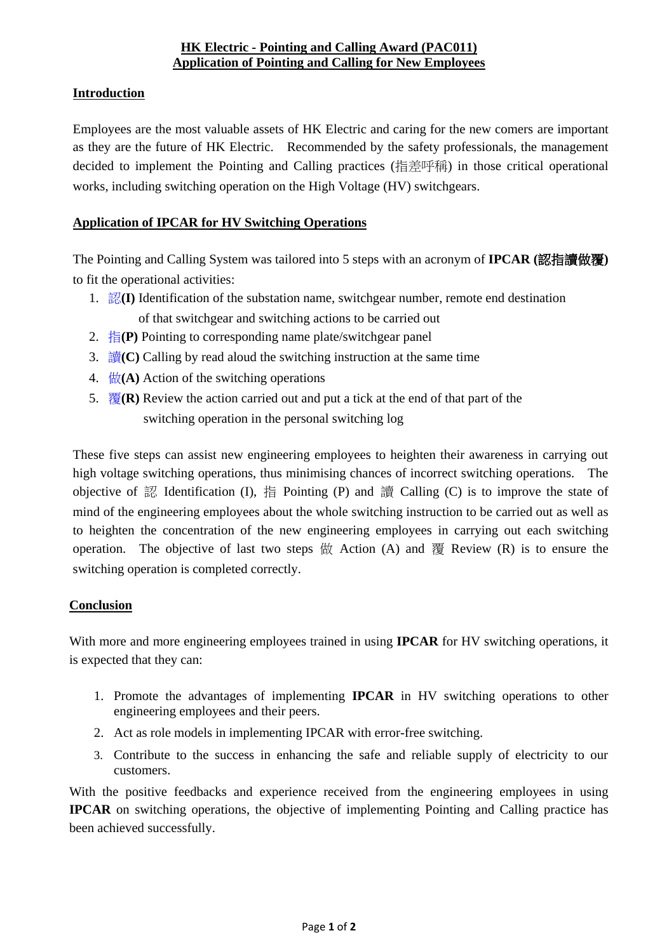## **Introduction**

Employees are the most valuable assets of HK Electric and caring for the new comers are important as they are the future of HK Electric. Recommended by the safety professionals, the management decided to implement the Pointing and Calling practices (指差呼稱) in those critical operational works, including switching operation on the High Voltage (HV) switchgears.

## **Application of IPCAR for HV Switching Operations**

The Pointing and Calling System was tailored into 5 steps with an acronym of **IPCAR (**認指讀做覆**)**  to fit the operational activities:

- 1. 認**(I)** Identification of the substation name, switchgear number, remote end destination of that switchgear and switching actions to be carried out
- 2. 指**(P)** Pointing to corresponding name plate/switchgear panel
- 3. 讀**(C)** Calling by read aloud the switching instruction at the same time
- 4. 做**(A)** Action of the switching operations
- 5.  $\overline{\mathcal{B}}(\mathbf{R})$  Review the action carried out and put a tick at the end of that part of the switching operation in the personal switching log

These five steps can assist new engineering employees to heighten their awareness in carrying out high voltage switching operations, thus minimising chances of incorrect switching operations. The objective of 認 Identification (I), 指 Pointing (P) and 讀 Calling (C) is to improve the state of mind of the engineering employees about the whole switching instruction to be carried out as well as to heighten the concentration of the new engineering employees in carrying out each switching operation. The objective of last two steps  $\sharp \sharp$  Action (A) and  $\sharp \sharp$  Review (R) is to ensure the switching operation is completed correctly.

### **Conclusion**

With more and more engineering employees trained in using **IPCAR** for HV switching operations, it is expected that they can:

- 1. Promote the advantages of implementing **IPCAR** in HV switching operations to other engineering employees and their peers.
- 2. Act as role models in implementing IPCAR with error-free switching.
- 3. Contribute to the success in enhancing the safe and reliable supply of electricity to our customers.

With the positive feedbacks and experience received from the engineering employees in using **IPCAR** on switching operations, the objective of implementing Pointing and Calling practice has been achieved successfully.